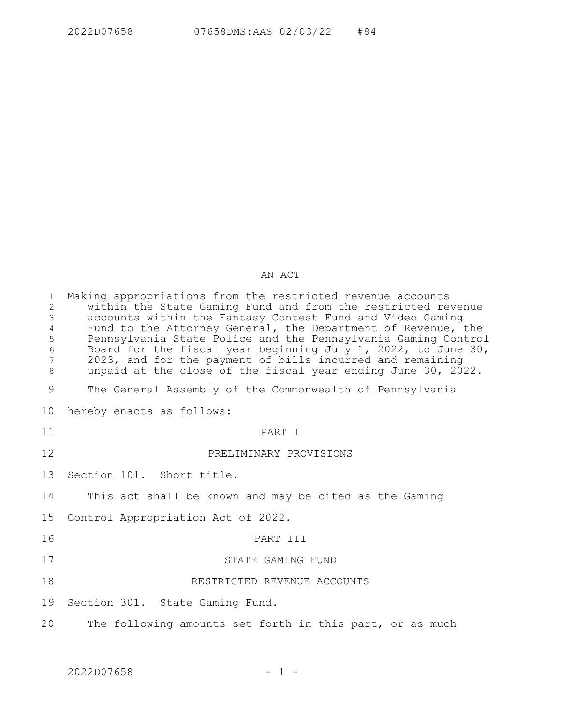## AN ACT

| $\mathbf{1}$<br>$\mathbf{2}$<br>$\mathfrak{Z}$<br>$\overline{4}$<br>5<br>$\sqrt{6}$<br>$7\overline{ }$<br>8 | Making appropriations from the restricted revenue accounts<br>within the State Gaming Fund and from the restricted revenue<br>accounts within the Fantasy Contest Fund and Video Gaming<br>Fund to the Attorney General, the Department of Revenue, the<br>Pennsylvania State Police and the Pennsylvania Gaming Control<br>Board for the fiscal year beginning July 1, 2022, to June 30,<br>2023, and for the payment of bills incurred and remaining<br>unpaid at the close of the fiscal year ending June 30, 2022. |
|-------------------------------------------------------------------------------------------------------------|------------------------------------------------------------------------------------------------------------------------------------------------------------------------------------------------------------------------------------------------------------------------------------------------------------------------------------------------------------------------------------------------------------------------------------------------------------------------------------------------------------------------|
| 9                                                                                                           | The General Assembly of the Commonwealth of Pennsylvania                                                                                                                                                                                                                                                                                                                                                                                                                                                               |
| 10 <sup>°</sup>                                                                                             | hereby enacts as follows:                                                                                                                                                                                                                                                                                                                                                                                                                                                                                              |
| 11                                                                                                          | PART I                                                                                                                                                                                                                                                                                                                                                                                                                                                                                                                 |
| 12                                                                                                          | PRELIMINARY PROVISIONS                                                                                                                                                                                                                                                                                                                                                                                                                                                                                                 |
| 13                                                                                                          | Section 101. Short title.                                                                                                                                                                                                                                                                                                                                                                                                                                                                                              |
| 14                                                                                                          | This act shall be known and may be cited as the Gaming                                                                                                                                                                                                                                                                                                                                                                                                                                                                 |
| 15                                                                                                          | Control Appropriation Act of 2022.                                                                                                                                                                                                                                                                                                                                                                                                                                                                                     |
| 16                                                                                                          | PART III                                                                                                                                                                                                                                                                                                                                                                                                                                                                                                               |
| 17                                                                                                          | STATE GAMING FUND                                                                                                                                                                                                                                                                                                                                                                                                                                                                                                      |
| 18                                                                                                          | RESTRICTED REVENUE ACCOUNTS                                                                                                                                                                                                                                                                                                                                                                                                                                                                                            |
| 19                                                                                                          | Section 301. State Gaming Fund.                                                                                                                                                                                                                                                                                                                                                                                                                                                                                        |
| 20                                                                                                          | The following amounts set forth in this part, or as much                                                                                                                                                                                                                                                                                                                                                                                                                                                               |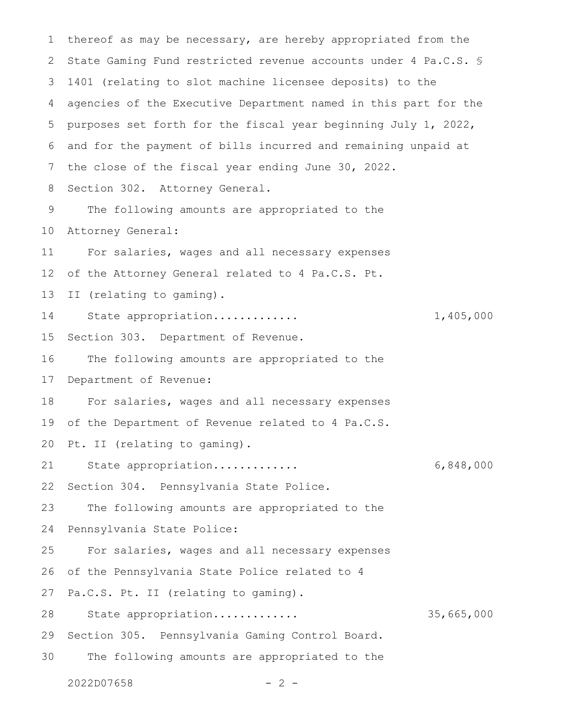thereof as may be necessary, are hereby appropriated from the State Gaming Fund restricted revenue accounts under 4 Pa.C.S. § 1401 (relating to slot machine licensee deposits) to the agencies of the Executive Department named in this part for the purposes set forth for the fiscal year beginning July 1, 2022, and for the payment of bills incurred and remaining unpaid at the close of the fiscal year ending June 30, 2022. Section 302. Attorney General. The following amounts are appropriated to the Attorney General: For salaries, wages and all necessary expenses of the Attorney General related to 4 Pa.C.S. Pt. II (relating to gaming). State appropriation............. 1,405,000 Section 303. Department of Revenue. The following amounts are appropriated to the Department of Revenue: For salaries, wages and all necessary expenses of the Department of Revenue related to 4 Pa.C.S. Pt. II (relating to gaming). State appropriation............. 6,848,000 Section 304. Pennsylvania State Police. The following amounts are appropriated to the Pennsylvania State Police: For salaries, wages and all necessary expenses of the Pennsylvania State Police related to 4 Pa.C.S. Pt. II (relating to gaming). State appropriation............. 35,665,000 Section 305. Pennsylvania Gaming Control Board. The following amounts are appropriated to the 1 2 3 4 5 6 7 8 9 10 11 12 13 14 15 16 17 18 19 20 21 22 23 24 25 26 27 28 29 30

 $2022D07658$  - 2 -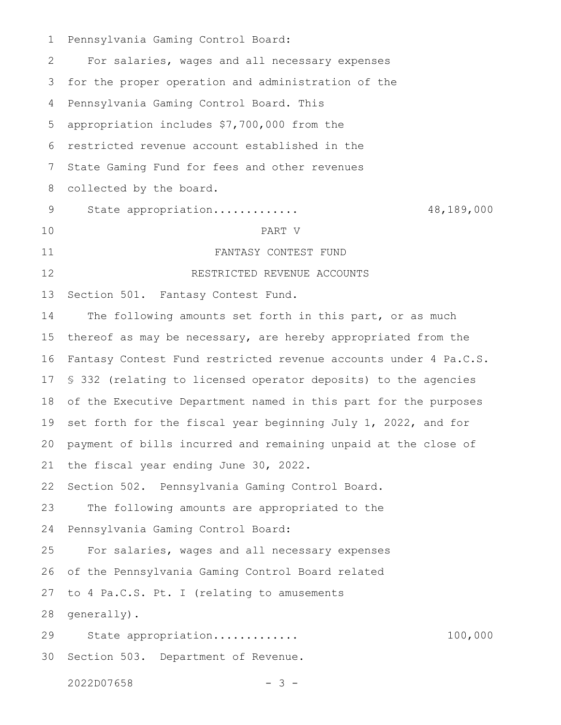Pennsylvania Gaming Control Board: For salaries, wages and all necessary expenses for the proper operation and administration of the Pennsylvania Gaming Control Board. This appropriation includes \$7,700,000 from the restricted revenue account established in the State Gaming Fund for fees and other revenues collected by the board. State appropriation............. 48,189,000 PART V FANTASY CONTEST FUND RESTRICTED REVENUE ACCOUNTS Section 501. Fantasy Contest Fund. The following amounts set forth in this part, or as much thereof as may be necessary, are hereby appropriated from the Fantasy Contest Fund restricted revenue accounts under 4 Pa.C.S. § 332 (relating to licensed operator deposits) to the agencies of the Executive Department named in this part for the purposes set forth for the fiscal year beginning July 1, 2022, and for payment of bills incurred and remaining unpaid at the close of the fiscal year ending June 30, 2022. Section 502. Pennsylvania Gaming Control Board. The following amounts are appropriated to the Pennsylvania Gaming Control Board: For salaries, wages and all necessary expenses of the Pennsylvania Gaming Control Board related to 4 Pa.C.S. Pt. I (relating to amusements generally). State appropriation............. 100,000 Section 503. Department of Revenue. 1 2 3 4 5 6 7 8 9 10 11 12 13 14 15 16 17 18 19 20 21 22 23 24 25 26 27 28 29 30

2022D07658 - 3 -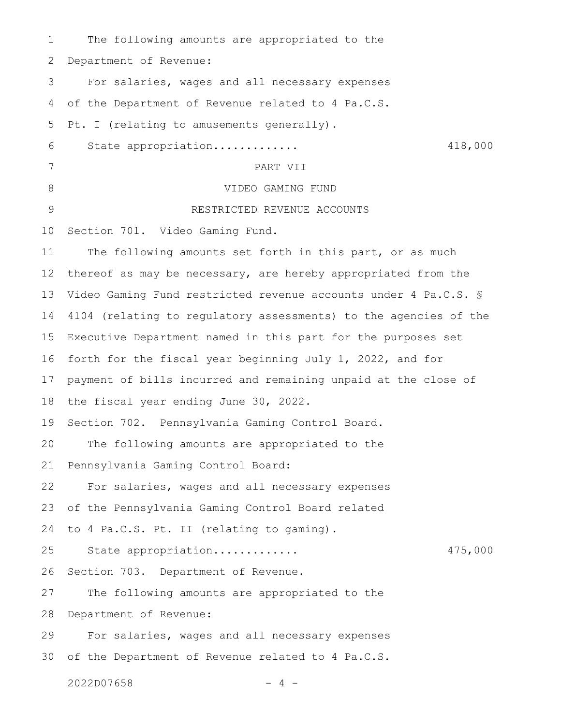The following amounts are appropriated to the Department of Revenue: For salaries, wages and all necessary expenses of the Department of Revenue related to 4 Pa.C.S. Pt. I (relating to amusements generally). State appropriation............. 418,000 PART VII VIDEO GAMING FUND RESTRICTED REVENUE ACCOUNTS Section 701. Video Gaming Fund. The following amounts set forth in this part, or as much thereof as may be necessary, are hereby appropriated from the Video Gaming Fund restricted revenue accounts under 4 Pa.C.S. § 4104 (relating to regulatory assessments) to the agencies of the Executive Department named in this part for the purposes set forth for the fiscal year beginning July 1, 2022, and for payment of bills incurred and remaining unpaid at the close of the fiscal year ending June 30, 2022. Section 702. Pennsylvania Gaming Control Board. The following amounts are appropriated to the Pennsylvania Gaming Control Board: For salaries, wages and all necessary expenses of the Pennsylvania Gaming Control Board related to 4 Pa.C.S. Pt. II (relating to gaming). State appropriation............. 475,000 Section 703. Department of Revenue. The following amounts are appropriated to the Department of Revenue: For salaries, wages and all necessary expenses of the Department of Revenue related to 4 Pa.C.S.  $2022D07658$  - 4 -1 2 3 4 5 6 7 8 9 10 11 12 13 14 15 16 17 18 19 20 21 22 23 24 25 26 27 28 29 30